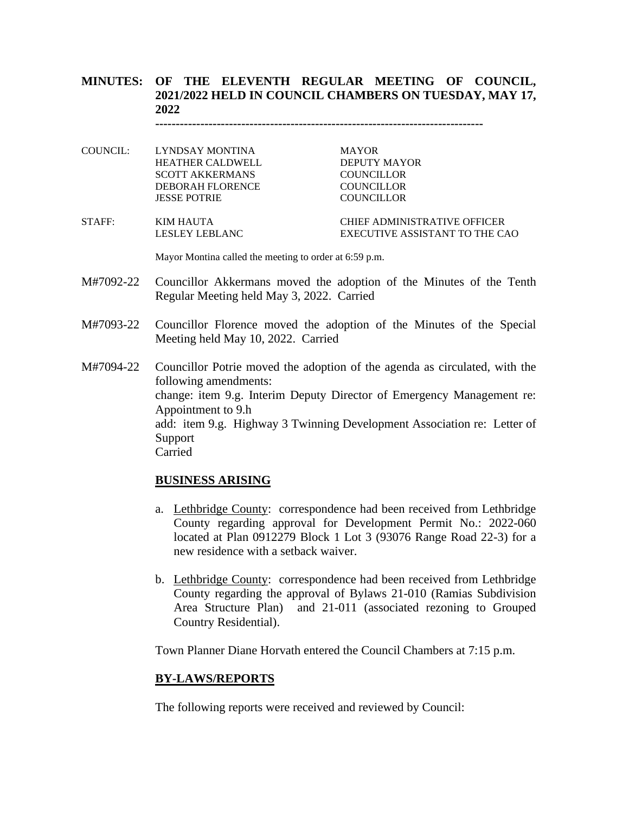# **MINUTES: OF THE ELEVENTH REGULAR MEETING OF COUNCIL, 2021/2022 HELD IN COUNCIL CHAMBERS ON TUESDAY, MAY 17, 2022**

**--------------------------------------------------------------------------------**

COUNCIL: LYNDSAY MONTINA MAYOR HEATHER CALDWELL DEPUTY MAYOR SCOTT AKKERMANS COUNCILLOR DEBORAH FLORENCE COUNCILLOR JESSE POTRIE COUNCILLOR

STAFF: KIM HAUTA CHIEF ADMINISTRATIVE OFFICER LESLEY LEBLANC EXECUTIVE ASSISTANT TO THE CAO

Mayor Montina called the meeting to order at 6:59 p.m.

- M#7092-22 Councillor Akkermans moved the adoption of the Minutes of the Tenth Regular Meeting held May 3, 2022. Carried
- M#7093-22 Councillor Florence moved the adoption of the Minutes of the Special Meeting held May 10, 2022. Carried

M#7094-22 Councillor Potrie moved the adoption of the agenda as circulated, with the following amendments: change: item 9.g. Interim Deputy Director of Emergency Management re: Appointment to 9.h add: item 9.g. Highway 3 Twinning Development Association re: Letter of Support Carried

## **BUSINESS ARISING**

- a. Lethbridge County: correspondence had been received from Lethbridge County regarding approval for Development Permit No.: 2022-060 located at Plan 0912279 Block 1 Lot 3 (93076 Range Road 22-3) for a new residence with a setback waiver.
- b. Lethbridge County: correspondence had been received from Lethbridge County regarding the approval of Bylaws 21-010 (Ramias Subdivision Area Structure Plan) and 21-011 (associated rezoning to Grouped Country Residential).

Town Planner Diane Horvath entered the Council Chambers at 7:15 p.m.

#### **BY-LAWS/REPORTS**

The following reports were received and reviewed by Council: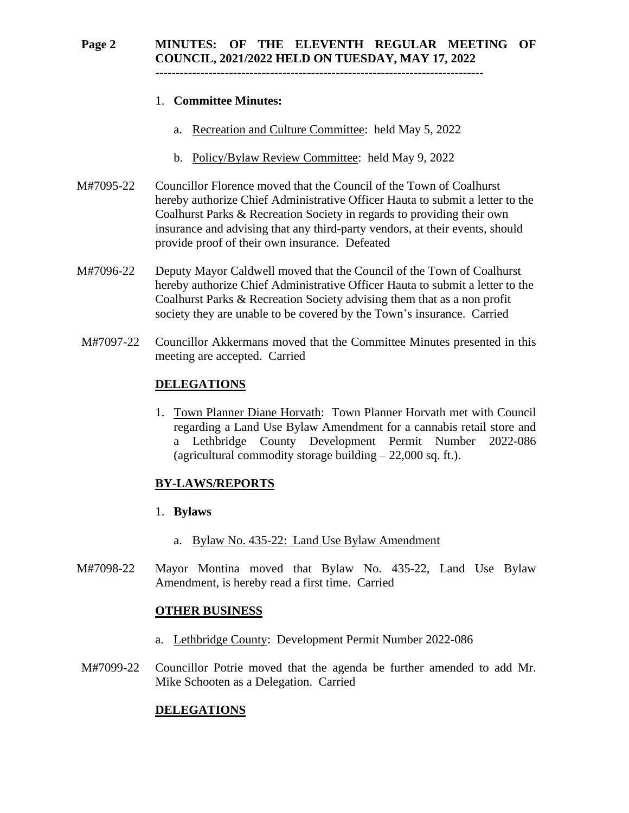# **Page 2 MINUTES: OF THE ELEVENTH REGULAR MEETING OF COUNCIL, 2021/2022 HELD ON TUESDAY, MAY 17, 2022**

**--------------------------------------------------------------------------------**

## 1. **Committee Minutes:**

- a. Recreation and Culture Committee: held May 5, 2022
- b. Policy/Bylaw Review Committee: held May 9, 2022
- M#7095-22 Councillor Florence moved that the Council of the Town of Coalhurst hereby authorize Chief Administrative Officer Hauta to submit a letter to the Coalhurst Parks & Recreation Society in regards to providing their own insurance and advising that any third-party vendors, at their events, should provide proof of their own insurance. Defeated
- M#7096-22 Deputy Mayor Caldwell moved that the Council of the Town of Coalhurst hereby authorize Chief Administrative Officer Hauta to submit a letter to the Coalhurst Parks & Recreation Society advising them that as a non profit society they are unable to be covered by the Town's insurance. Carried
- M#7097-22 Councillor Akkermans moved that the Committee Minutes presented in this meeting are accepted. Carried

# **DELEGATIONS**

1. Town Planner Diane Horvath: Town Planner Horvath met with Council regarding a Land Use Bylaw Amendment for a cannabis retail store and a Lethbridge County Development Permit Number 2022-086 (agricultural commodity storage building  $-22,000$  sq. ft.).

# **BY-LAWS/REPORTS**

## 1. **Bylaws**

- a. Bylaw No. 435-22: Land Use Bylaw Amendment
- M#7098-22 Mayor Montina moved that Bylaw No. 435-22, Land Use Bylaw Amendment, is hereby read a first time. Carried

## **OTHER BUSINESS**

- a. Lethbridge County: Development Permit Number 2022-086
- M#7099-22 Councillor Potrie moved that the agenda be further amended to add Mr. Mike Schooten as a Delegation. Carried

## **DELEGATIONS**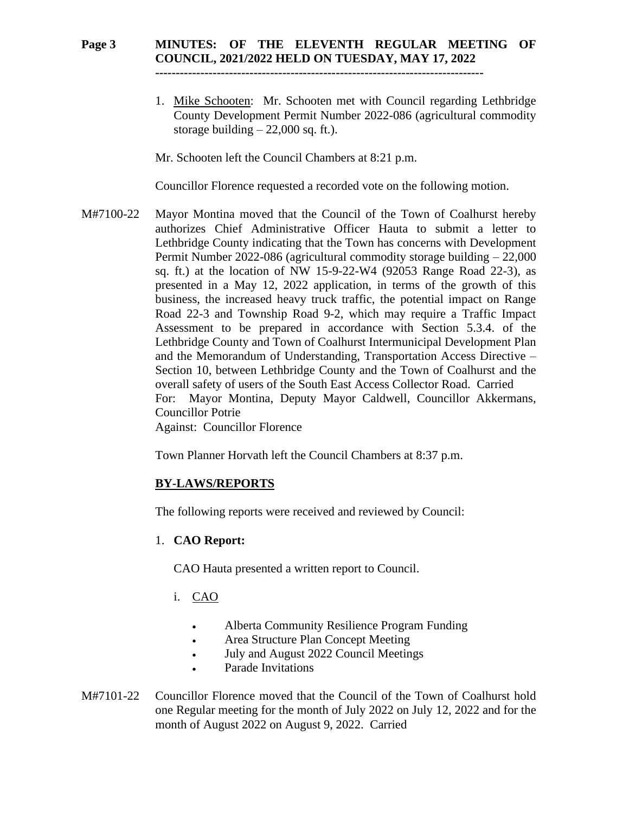#### **Page 3 MINUTES: OF THE ELEVENTH REGULAR MEETING OF COUNCIL, 2021/2022 HELD ON TUESDAY, MAY 17, 2022 --------------------------------------------------------------------------------**

1. Mike Schooten: Mr. Schooten met with Council regarding Lethbridge County Development Permit Number 2022-086 (agricultural commodity storage building  $-22,000$  sq. ft.).

Mr. Schooten left the Council Chambers at 8:21 p.m.

Councillor Florence requested a recorded vote on the following motion.

M#7100-22 Mayor Montina moved that the Council of the Town of Coalhurst hereby authorizes Chief Administrative Officer Hauta to submit a letter to Lethbridge County indicating that the Town has concerns with Development Permit Number 2022-086 (agricultural commodity storage building – 22,000 sq. ft.) at the location of NW 15-9-22-W4 (92053 Range Road 22-3), as presented in a May 12, 2022 application, in terms of the growth of this business, the increased heavy truck traffic, the potential impact on Range Road 22-3 and Township Road 9-2, which may require a Traffic Impact Assessment to be prepared in accordance with Section 5.3.4. of the Lethbridge County and Town of Coalhurst Intermunicipal Development Plan and the Memorandum of Understanding, Transportation Access Directive – Section 10, between Lethbridge County and the Town of Coalhurst and the overall safety of users of the South East Access Collector Road. Carried For: Mayor Montina, Deputy Mayor Caldwell, Councillor Akkermans, Councillor Potrie Against: Councillor Florence

Town Planner Horvath left the Council Chambers at 8:37 p.m.

# **BY-LAWS/REPORTS**

The following reports were received and reviewed by Council:

# 1. **CAO Report:**

CAO Hauta presented a written report to Council.

- i. CAO
	- Alberta Community Resilience Program Funding
	- Area Structure Plan Concept Meeting
	- July and August 2022 Council Meetings
	- Parade Invitations
- M#7101-22 Councillor Florence moved that the Council of the Town of Coalhurst hold one Regular meeting for the month of July 2022 on July 12, 2022 and for the month of August 2022 on August 9, 2022. Carried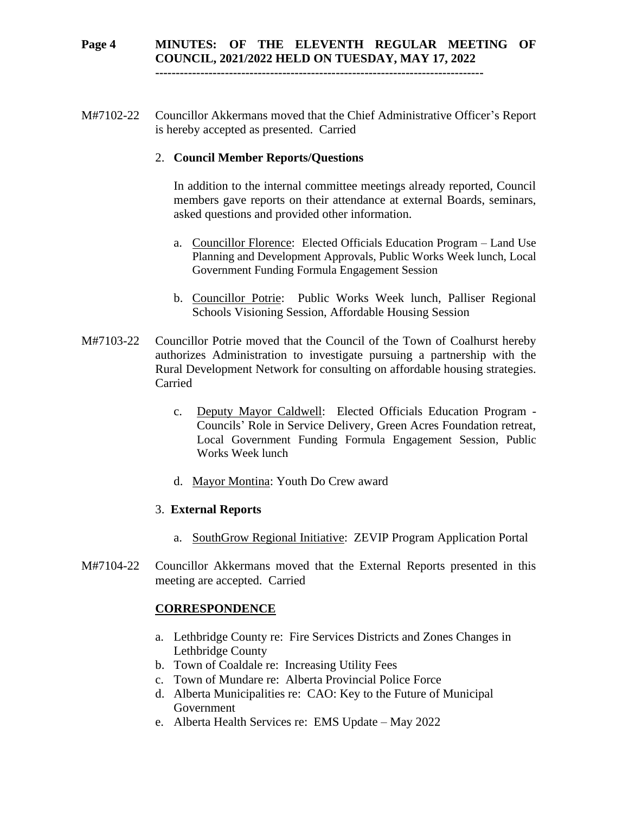# **Page 4 MINUTES: OF THE ELEVENTH REGULAR MEETING OF COUNCIL, 2021/2022 HELD ON TUESDAY, MAY 17, 2022**

**--------------------------------------------------------------------------------**

M#7102-22 Councillor Akkermans moved that the Chief Administrative Officer's Report is hereby accepted as presented. Carried

# 2. **Council Member Reports/Questions**

In addition to the internal committee meetings already reported, Council members gave reports on their attendance at external Boards, seminars, asked questions and provided other information.

- a. Councillor Florence: Elected Officials Education Program Land Use Planning and Development Approvals, Public Works Week lunch, Local Government Funding Formula Engagement Session
- b. Councillor Potrie: Public Works Week lunch, Palliser Regional Schools Visioning Session, Affordable Housing Session
- M#7103-22 Councillor Potrie moved that the Council of the Town of Coalhurst hereby authorizes Administration to investigate pursuing a partnership with the Rural Development Network for consulting on affordable housing strategies. Carried
	- c. Deputy Mayor Caldwell: Elected Officials Education Program Councils' Role in Service Delivery, Green Acres Foundation retreat, Local Government Funding Formula Engagement Session, Public Works Week lunch
	- d. Mayor Montina: Youth Do Crew award

# 3. **External Reports**

- a. SouthGrow Regional Initiative: ZEVIP Program Application Portal
- M#7104-22 Councillor Akkermans moved that the External Reports presented in this meeting are accepted. Carried

# **CORRESPONDENCE**

- a. Lethbridge County re: Fire Services Districts and Zones Changes in Lethbridge County
- b. Town of Coaldale re: Increasing Utility Fees
- c. Town of Mundare re: Alberta Provincial Police Force
- d. Alberta Municipalities re: CAO: Key to the Future of Municipal Government
- e. Alberta Health Services re: EMS Update May 2022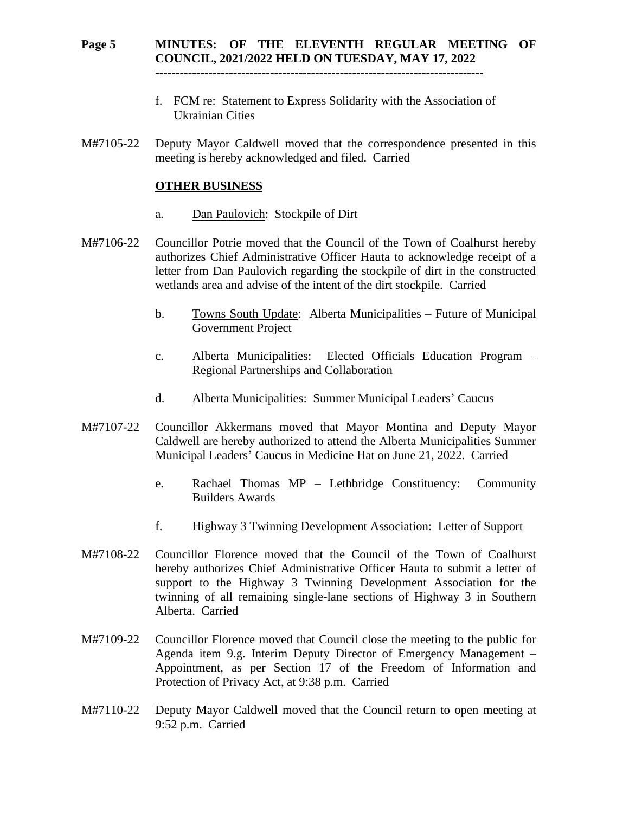# **Page 5 MINUTES: OF THE ELEVENTH REGULAR MEETING OF COUNCIL, 2021/2022 HELD ON TUESDAY, MAY 17, 2022**

**--------------------------------------------------------------------------------**

- f. FCM re: Statement to Express Solidarity with the Association of Ukrainian Cities
- M#7105-22 Deputy Mayor Caldwell moved that the correspondence presented in this meeting is hereby acknowledged and filed. Carried

#### **OTHER BUSINESS**

- a. Dan Paulovich: Stockpile of Dirt
- M#7106-22 Councillor Potrie moved that the Council of the Town of Coalhurst hereby authorizes Chief Administrative Officer Hauta to acknowledge receipt of a letter from Dan Paulovich regarding the stockpile of dirt in the constructed wetlands area and advise of the intent of the dirt stockpile. Carried
	- b. Towns South Update: Alberta Municipalities Future of Municipal Government Project
	- c. Alberta Municipalities: Elected Officials Education Program Regional Partnerships and Collaboration
	- d. Alberta Municipalities: Summer Municipal Leaders' Caucus
- M#7107-22 Councillor Akkermans moved that Mayor Montina and Deputy Mayor Caldwell are hereby authorized to attend the Alberta Municipalities Summer Municipal Leaders' Caucus in Medicine Hat on June 21, 2022. Carried
	- e. Rachael Thomas MP Lethbridge Constituency: Community Builders Awards
	- f. Highway 3 Twinning Development Association: Letter of Support
- M#7108-22 Councillor Florence moved that the Council of the Town of Coalhurst hereby authorizes Chief Administrative Officer Hauta to submit a letter of support to the Highway 3 Twinning Development Association for the twinning of all remaining single-lane sections of Highway 3 in Southern Alberta. Carried
- M#7109-22 Councillor Florence moved that Council close the meeting to the public for Agenda item 9.g. Interim Deputy Director of Emergency Management – Appointment, as per Section 17 of the Freedom of Information and Protection of Privacy Act, at 9:38 p.m. Carried
- M#7110-22 Deputy Mayor Caldwell moved that the Council return to open meeting at 9:52 p.m. Carried